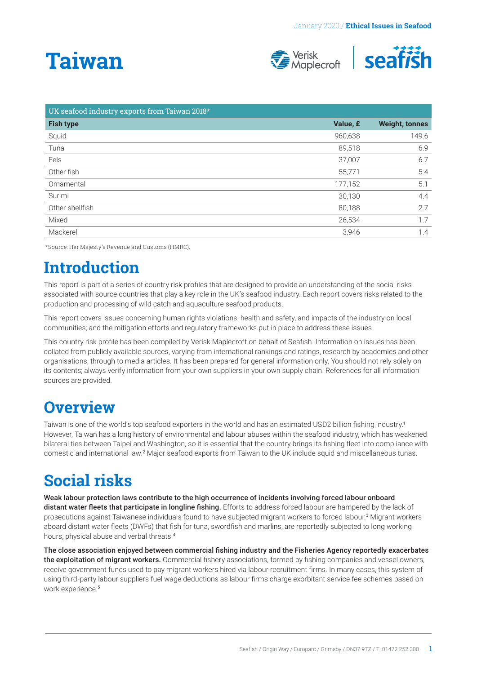# <span id="page-0-0"></span>**Taiwan**





| UK seafood industry exports from Taiwan 2018* |          |                       |
|-----------------------------------------------|----------|-----------------------|
| <b>Fish type</b>                              | Value, £ | <b>Weight, tonnes</b> |
| Squid                                         | 960,638  | 149.6                 |
| Tuna                                          | 89,518   | 6.9                   |
| Eels                                          | 37,007   | 6.7                   |
| Other fish                                    | 55,771   | 5.4                   |
| Ornamental                                    | 177,152  | 5.1                   |
| Surimi                                        | 30,130   | 4.4                   |
| Other shellfish                               | 80,188   | 2.7                   |
| Mixed                                         | 26,534   | 1.7                   |
| Mackerel                                      | 3,946    | 1.4                   |

\*Source: Her Majesty's Revenue and Customs (HMRC).

### **Introduction**

This report is part of a series of country risk profiles that are designed to provide an understanding of the social risks associated with source countries that play a key role in the UK's seafood industry. Each report covers risks related to the production and processing of wild catch and aquaculture seafood products.

This report covers issues concerning human rights violations, health and safety, and impacts of the industry on local communities; and the mitigation efforts and regulatory frameworks put in place to address these issues.

This country risk profile has been compiled by Verisk Maplecroft on behalf of Seafish. Information on issues has been collated from publicly available sources, varying from international rankings and ratings, research by academics and other organisations, through to media articles. It has been prepared for general information only. You should not rely solely on its contents; always verify information from your own suppliers in your own supply chain. References for all information sources are provided.

### **Overview**

Taiwan is one of the world's top seafood exporters in the world and has an estimated USD2 billion fishing industry.[1](#page-4-0) However, Taiwan has a long history of environmental and labour abuses within the seafood industry, which has weakened bilateral ties between Taipei and Washington, so it is essential that the country brings its fishing fleet into compliance with domestic and international law.<sup>[2](#page-4-0)</sup> Major seafood exports from Taiwan to the UK include squid and miscellaneous tunas.

## **Social risks**

Weak labour protection laws contribute to the high occurrence of incidents involving forced labour onboard distant water fleets that participate in longline fishing. Efforts to address forced labour are hampered by the lack of prosecutions against Taiwanese individuals found to have subjected migrant workers to forced labour.<sup>[3](#page-4-0)</sup> Migrant workers aboard distant water fleets (DWFs) that fish for tuna, swordfish and marlins, are reportedly subjected to long working hours, physical abuse and verbal threats.[4](#page-4-0)

The close association enjoyed between commercial fishing industry and the Fisheries Agency reportedly exacerbates the exploitation of migrant workers. Commercial fishery associations, formed by fishing companies and vessel owners, receive government funds used to pay migrant workers hired via labour recruitment firms. In many cases, this system of using third-party labour suppliers fuel wage deductions as labour firms charge exorbitant service fee schemes based on work experience.<sup>[5](#page-4-0)</sup>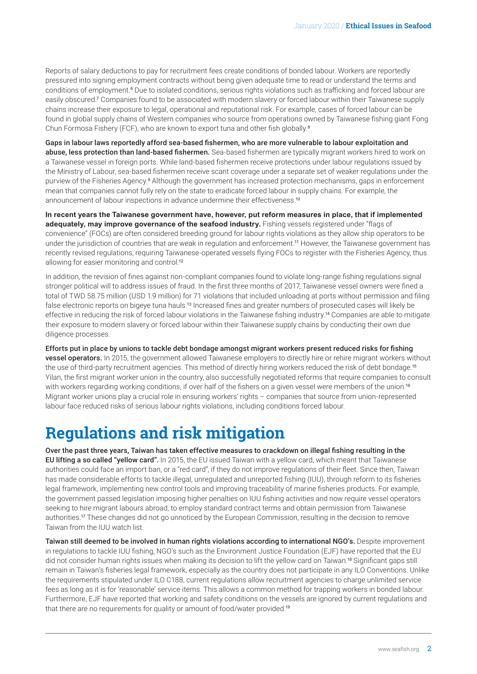<span id="page-1-0"></span>Reports of salary deductions to pay for recruitment fees create conditions of bonded labour. Workers are reportedly pressured into signing employment contracts without being given adequate time to read or understand the terms and conditions of employment.<sup>[6](#page-4-0)</sup> Due to isolated conditions, serious rights violations such as trafficking and forced labour are easily obscured.<sup>[7](#page-4-0)</sup> Companies found to be associated with modern slavery or forced labour within their Taiwanese supply chains increase their exposure to legal, operational and reputational risk. For example, cases of forced labour can be found in global supply chains of Western companies who source from operations owned by Taiwanese fishing giant Fong Chun Formosa Fishery (FCF), who are known to export tuna and other fish globally.[8](#page-4-0)

Gaps in labour laws reportedly afford sea-based fishermen, who are more vulnerable to labour exploitation and abuse, less protection than land-based fishermen. Sea-based fishermen are typically migrant workers hired to work on a Taiwanese vessel in foreign ports. While land-based fishermen receive protections under labour regulations issued by the Ministry of Labour, sea-based fishermen receive scant coverage under a separate set of weaker regulations under the purview of the Fisheries Agency.<sup>[9](#page-4-0)</sup> Although the government has increased protection mechanisms, gaps in enforcement mean that companies cannot fully rely on the state to eradicate forced labour in supply chains. For example, the announcement of labour inspections in advance undermine their effectiveness.[10](#page-4-0)

**In recent years the Taiwanese government have, however, put reform measures in place, that if implemented adequately, may improve governance of the seafood industry.** Fishing vessels registered under "flags of convenience" (FOCs) are often considered breeding ground for labour rights violations as they allow ship operators to be under the jurisdiction of countries that are weak in regulation and enforcement.[11](#page-4-0) However, the Taiwanese government has recently revised regulations, requiring Taiwanese-operated vessels flying FOCs to register with the Fisheries Agency, thus allowing for easier monitoring and control.<sup>[12](#page-4-0)</sup>

In addition, the revision of fines against non-compliant companies found to violate long-range fishing regulations signal stronger political will to address issues of fraud. In the first three months of 2017, Taiwanese vessel owners were fined a total of TWD 58.75 million (USD 1.9 million) for 71 violations that included unloading at ports without permission and filing false electronic reports on bigeve tuna hauls.<sup>[13](#page-4-0)</sup> Increased fines and greater numbers of prosecuted cases will likely be effective in reducing the risk of forced labour violations in the Taiwanese fishing industry.[14](#page-4-0) Companies are able to mitigate their exposure to modern slavery or forced labour within their Taiwanese supply chains by conducting their own due diligence processes.

Efforts put in place by unions to tackle debt bondage amongst migrant workers present reduced risks for fishing vessel operators. In 2015, the government allowed Taiwanese employers to directly hire or rehire migrant workers without the use of third-party recruitment agencies. This method of directly hiring workers reduced the risk of debt bondage.[15](#page-4-0) Yilan, the first migrant worker union in the country, also successfully negotiated reforms that require companies to consult with workers regarding working conditions, if over half of the fishers on a given vessel were members of the union.<sup>[16](#page-4-0)</sup> Migrant worker unions play a crucial role in ensuring workers' rights – companies that source from union-represented labour face reduced risks of serious labour rights violations, including conditions forced labour.

### **Regulations and risk mitigation**

Over the past three years, Taiwan has taken effective measures to crackdown on illegal fishing resulting in the EU lifting a so called "yellow card". In 2015, the EU issued Taiwan with a yellow card, which meant that Taiwanese authorities could face an import ban, or a "red card", if they do not improve regulations of their fleet. Since then, Taiwan has made considerable efforts to tackle illegal, unregulated and unreported fishing (IUU), through reform to its fisheries legal framework, implementing new control tools and improving traceability of marine fisheries products. For example, the government passed legislation imposing higher penalties on IUU fishing activities and now require vessel operators seeking to hire migrant labours abroad, to employ standard contract terms and obtain permission from Taiwanese authorities.[17](#page-4-0) These changes did not go unnoticed by the European Commission, resulting in the decision to remove Taiwan from the IUU watch list.

Taiwan still deemed to be involved in human rights violations according to international NGO's. Despite improvement in regulations to tackle IUU fishing, NGO's such as the Environment Justice Foundation (EJF) have reported that the EU did not consider human rights issues when making its decision to lift the yellow card on Taiwan.[18](#page-4-0) Significant gaps still remain in Taiwan's fisheries legal framework, especially as the country does not participate in any ILO Conventions. Unlike the requirements stipulated under ILO C188, current regulations allow recruitment agencies to charge unlimited service fees as long as it is for 'reasonable' service items. This allows a common method for trapping workers in bonded labour. Furthermore, EJF have reported that working and safety conditions on the vessels are ignored by current regulations and that there are no requirements for quality or amount of food/water provided.<sup>[19](#page-4-0)</sup>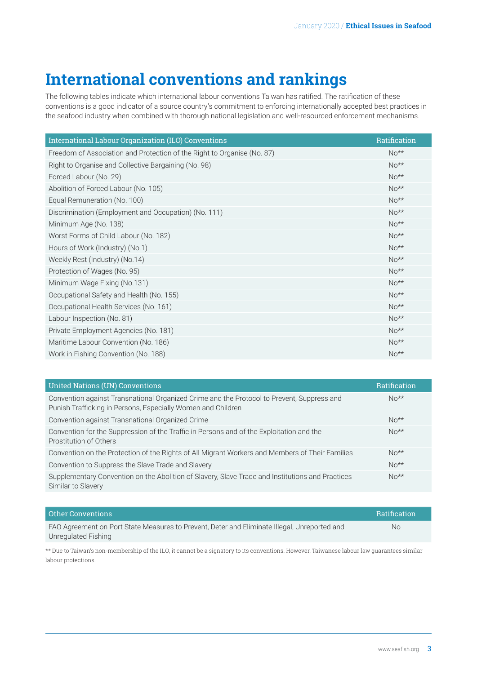# **International conventions and rankings**

The following tables indicate which international labour conventions Taiwan has ratified. The ratification of these conventions is a good indicator of a source country's commitment to enforcing internationally accepted best practices in the seafood industry when combined with thorough national legislation and well-resourced enforcement mechanisms.

| International Labour Organization (ILO) Conventions                     | Ratification |
|-------------------------------------------------------------------------|--------------|
| Freedom of Association and Protection of the Right to Organise (No. 87) | $No**$       |
| Right to Organise and Collective Bargaining (No. 98)                    | $No**$       |
| Forced Labour (No. 29)                                                  | $No**$       |
| Abolition of Forced Labour (No. 105)                                    | $No**$       |
| Equal Remuneration (No. 100)                                            | $No**$       |
| Discrimination (Employment and Occupation) (No. 111)                    | $No**$       |
| Minimum Age (No. 138)                                                   | $No**$       |
| Worst Forms of Child Labour (No. 182)                                   | $No**$       |
| Hours of Work (Industry) (No.1)                                         | $No**$       |
| Weekly Rest (Industry) (No.14)                                          | $No**$       |
| Protection of Wages (No. 95)                                            | $No**$       |
| Minimum Wage Fixing (No.131)                                            | $No**$       |
| Occupational Safety and Health (No. 155)                                | $No**$       |
| Occupational Health Services (No. 161)                                  | $No**$       |
| Labour Inspection (No. 81)                                              | $No**$       |
| Private Employment Agencies (No. 181)                                   | $No**$       |
| Maritime Labour Convention (No. 186)                                    | $No**$       |
| Work in Fishing Convention (No. 188)                                    | $No**$       |

| <b>United Nations (UN) Conventions</b>                                                                                                                     | Ratification |
|------------------------------------------------------------------------------------------------------------------------------------------------------------|--------------|
| Convention against Transnational Organized Crime and the Protocol to Prevent, Suppress and<br>Punish Trafficking in Persons, Especially Women and Children | $N_{0**}$    |
| Convention against Transnational Organized Crime                                                                                                           | $No**$       |
| Convention for the Suppression of the Traffic in Persons and of the Exploitation and the<br>Prostitution of Others                                         | $N_0**$      |
| Convention on the Protection of the Rights of All Migrant Workers and Members of Their Families                                                            | $No**$       |
| Convention to Suppress the Slave Trade and Slavery                                                                                                         | $No**$       |
| Supplementary Convention on the Abolition of Slavery, Slave Trade and Institutions and Practices<br>Similar to Slavery                                     | $No**$       |

| Other Conventions                                                                            | <b>Ratification</b> |
|----------------------------------------------------------------------------------------------|---------------------|
| FAO Agreement on Port State Measures to Prevent, Deter and Eliminate Illegal, Unreported and | No.                 |
| Unregulated Fishing                                                                          |                     |

\*\* Due to Taiwan's non-membership of the ILO, it cannot be a signatory to its conventions. However, Taiwanese labour law guarantees similar labour protections.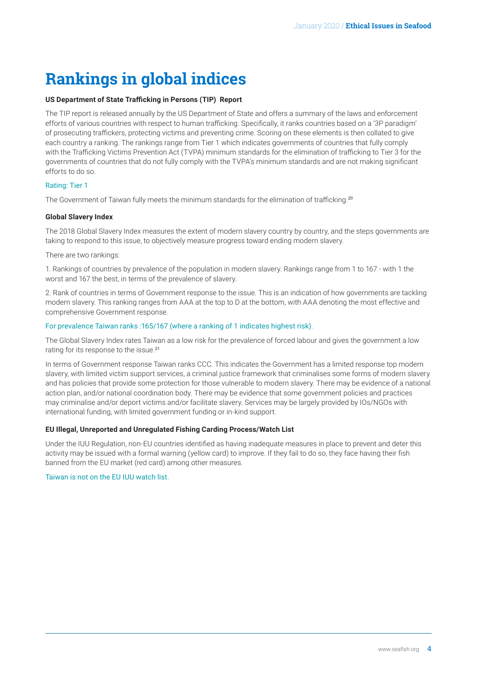# <span id="page-3-0"></span>**Rankings in global indices**

#### **US Department of State Trafficking in Persons (TIP) Report**

The TIP report is released annually by the US Department of State and offers a summary of the laws and enforcement efforts of various countries with respect to human trafficking. Specifically, it ranks countries based on a '3P paradigm' of prosecuting traffickers, protecting victims and preventing crime. Scoring on these elements is then collated to give each country a ranking. The rankings range from Tier 1 which indicates governments of countries that fully comply with the Trafficking Victims Prevention Act (TVPA) minimum standards for the elimination of trafficking to Tier 3 for the governments of countries that do not fully comply with the TVPA's minimum standards and are not making significant efforts to do so.

#### Rating: Tier 1

The Government of Taiwan fully meets the minimum standards for the elimination of trafficking.[20](#page-4-0)

#### **Global Slavery Index**

The 2018 Global Slavery Index measures the extent of modern slavery country by country, and the steps governments are taking to respond to this issue, to objectively measure progress toward ending modern slavery.

There are two rankings:

1. Rankings of countries by prevalence of the population in modern slavery. Rankings range from 1 to 167 - with 1 the worst and 167 the best, in terms of the prevalence of slavery.

2. Rank of countries in terms of Government response to the issue. This is an indication of how governments are tackling modern slavery. This ranking ranges from AAA at the top to D at the bottom, with AAA denoting the most effective and comprehensive Government response.

#### For prevalence Taiwan ranks :165/167 (where a ranking of 1 indicates highest risk).

The Global Slavery Index rates Taiwan as a low risk for the prevalence of forced labour and gives the government a low rating for its response to the issue.[21](#page-4-0)

In terms of Government response Taiwan ranks CCC. This indicates the Government has a limited response top modern slavery, with limited victim support services, a criminal justice framework that criminalises some forms of modern slavery and has policies that provide some protection for those vulnerable to modern slavery. There may be evidence of a national action plan, and/or national coordination body. There may be evidence that some government policies and practices may criminalise and/or deport victims and/or facilitate slavery. Services may be largely provided by IOs/NGOs with international funding, with limited government funding or in-kind support.

#### **EU Illegal, Unreported and Unregulated Fishing Carding Process/Watch List**

Under the IUU Regulation, non-EU countries identified as having inadequate measures in place to prevent and deter this activity may be issued with a formal warning (yellow card) to improve. If they fail to do so, they face having their fish banned from the EU market (red card) among other measures.

#### Taiwan is not on the EU IUU watch list.